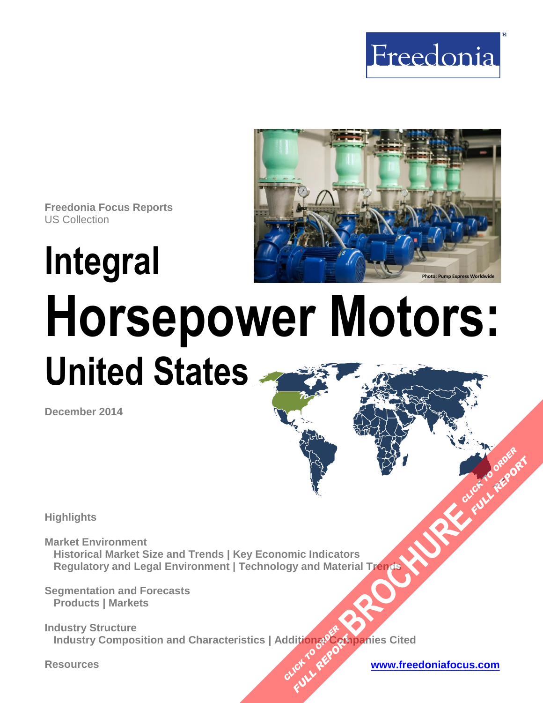



**Freedonia Focus Reports** US Collection

# **Integral Horsepower Motors: United States**

**December 2014**

**Highlights** 

**Market Environment Historical Market Size and Trends | Key Economic Indicators Regulatory and Legal Environment | Technology and Material Trends [BROCHURE](http://www.freedoniagroup.com/FocusDetails.aspx?ReferrerId=FM-FocusBro&ReportID=FF45045) AND CLICK TO ORDER** 

**Segmentation and Forecasts Products | Markets** 

**Industry Structure Industry Composition and Characteristics | Additional Companies Cited CLICK TO REPORT FULL REPORT** 

**Resources [www.freedoniafocus.com](http://www.freedoniagroup.com/FocusReports.aspx?ReferrerId=FM-FocusBro)**

**FULL REP**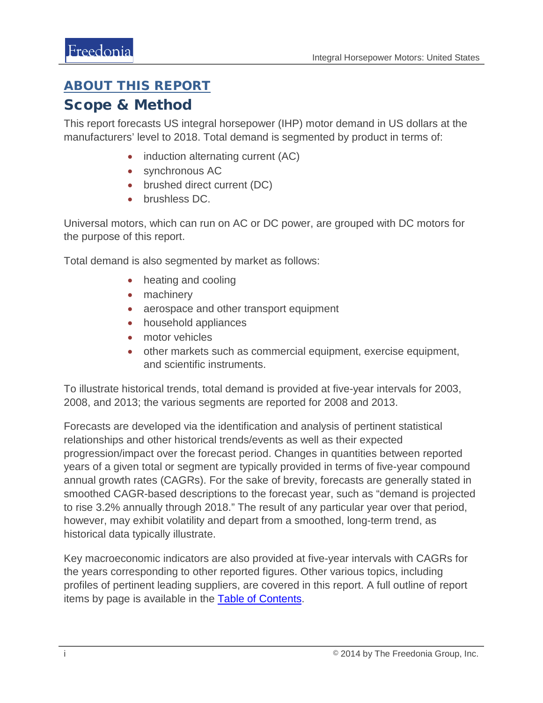## <span id="page-1-0"></span>ABOUT THIS REPORT

### Scope & Method

This report forecasts US integral horsepower (IHP) motor demand in US dollars at the manufacturers' level to 2018. Total demand is segmented by product in terms of:

- induction alternating current (AC)
- synchronous AC
- brushed direct current (DC)
- brushless DC.

Universal motors, which can run on AC or DC power, are grouped with DC motors for the purpose of this report.

Total demand is also segmented by market as follows:

- heating and cooling
- machinery
- aerospace and other transport equipment
- household appliances
- motor vehicles
- other markets such as commercial equipment, exercise equipment, and scientific instruments.

To illustrate historical trends, total demand is provided at five-year intervals for 2003, 2008, and 2013; the various segments are reported for 2008 and 2013.

Forecasts are developed via the identification and analysis of pertinent statistical relationships and other historical trends/events as well as their expected progression/impact over the forecast period. Changes in quantities between reported years of a given total or segment are typically provided in terms of five-year compound annual growth rates (CAGRs). For the sake of brevity, forecasts are generally stated in smoothed CAGR-based descriptions to the forecast year, such as "demand is projected to rise 3.2% annually through 2018." The result of any particular year over that period, however, may exhibit volatility and depart from a smoothed, long-term trend, as historical data typically illustrate.

Key macroeconomic indicators are also provided at five-year intervals with CAGRs for the years corresponding to other reported figures. Other various topics, including profiles of pertinent leading suppliers, are covered in this report. A full outline of report items by page is available in the [Table of Contents.](#page-3-0)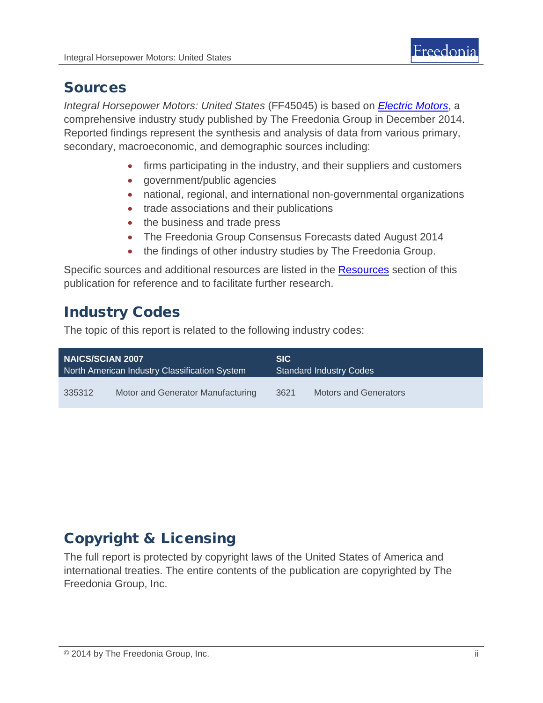

## Sources

*Integral Horsepower Motors: United States* (FF45045) is based on *[Electric Motors](http://www.freedoniagroup.com/DocumentDetails.aspx?ReferrerId=FL-FOCUS&studyid=3238)*, a comprehensive industry study published by The Freedonia Group in December 2014. Reported findings represent the synthesis and analysis of data from various primary, secondary, macroeconomic, and demographic sources including:

- firms participating in the industry, and their suppliers and customers
- government/public agencies
- national, regional, and international non-governmental organizations
- trade associations and their publications
- the business and trade press
- The Freedonia Group Consensus Forecasts dated August 2014
- the findings of other industry studies by The Freedonia Group.

Specific sources and additional resources are listed in the Resources section of this publication for reference and to facilitate further research.

# Industry Codes

The topic of this report is related to the following industry codes:

| <b>NAICS/SCIAN 2007</b>                       |                                   | <b>SIC</b>                     |                              |
|-----------------------------------------------|-----------------------------------|--------------------------------|------------------------------|
| North American Industry Classification System |                                   | <b>Standard Industry Codes</b> |                              |
| 335312                                        | Motor and Generator Manufacturing | 3621                           | <b>Motors and Generators</b> |

# Copyright & Licensing

The full report is protected by copyright laws of the United States of America and international treaties. The entire contents of the publication are copyrighted by The Freedonia Group, Inc.